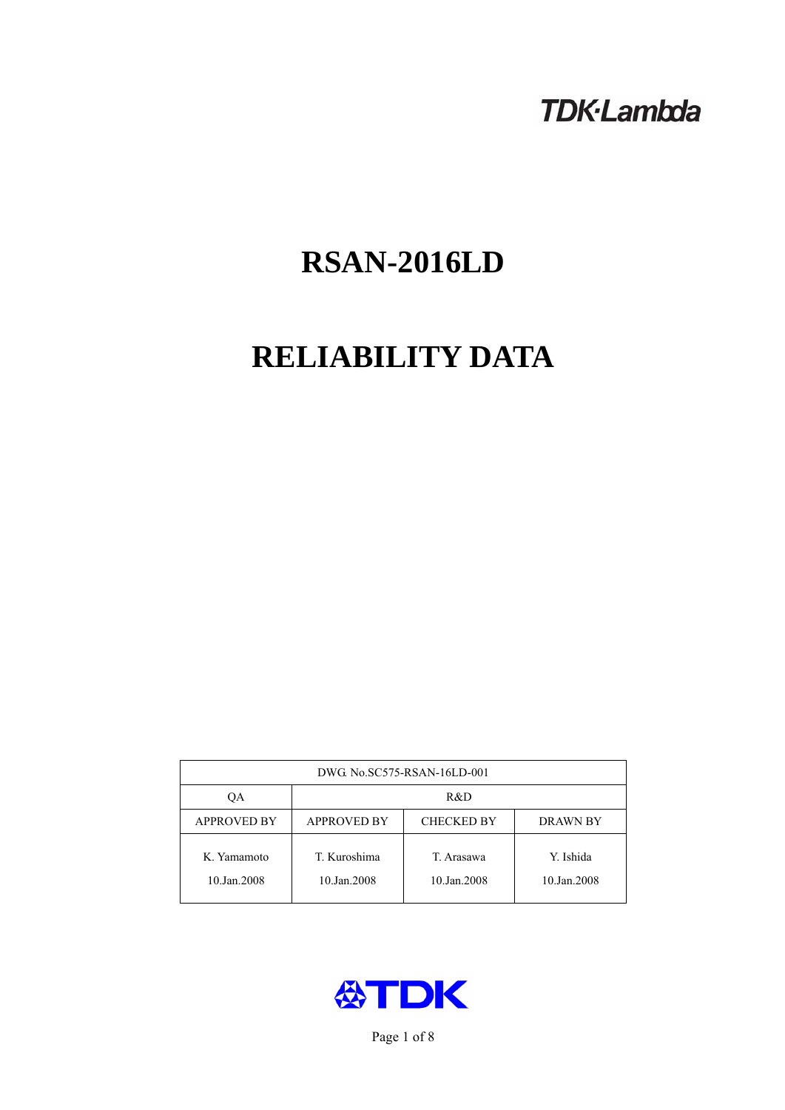# **TDK-Lambda**

# **RSAN-2016LD**

# **RELIABILITY DATA**

| DWG. No.SC575-RSAN-16LD-001 |                                                            |                           |                          |  |  |
|-----------------------------|------------------------------------------------------------|---------------------------|--------------------------|--|--|
| ОA                          | R&D                                                        |                           |                          |  |  |
| <b>APPROVED BY</b>          | <b>APPROVED BY</b><br><b>CHECKED BY</b><br><b>DRAWN BY</b> |                           |                          |  |  |
| K. Yamamoto<br>10.Jan.2008  | T. Kuroshima<br>10.Jan.2008                                | T. Arasawa<br>10.Jan.2008 | Y. Ishida<br>10.Jan.2008 |  |  |



Page 1 of 8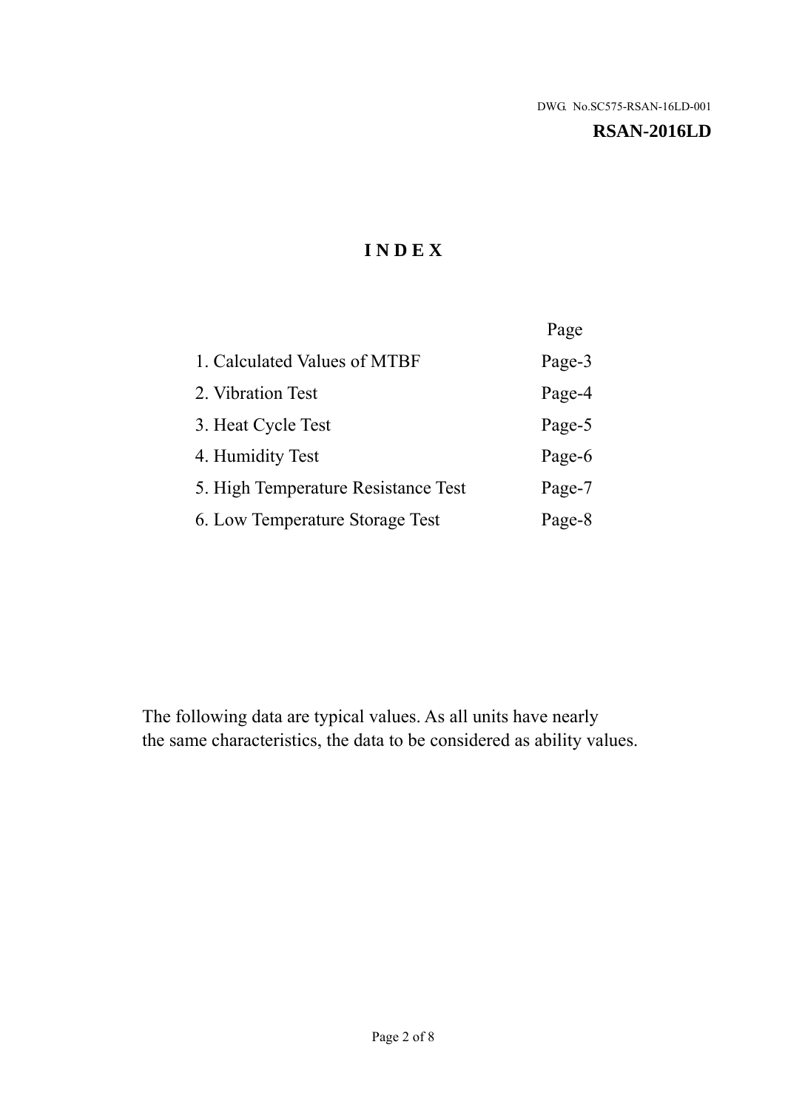### **RSAN-2016LD**

# **I N D E X**

|                                     | Page   |
|-------------------------------------|--------|
| 1. Calculated Values of MTBF        | Page-3 |
| 2. Vibration Test                   | Page-4 |
| 3. Heat Cycle Test                  | Page-5 |
| 4. Humidity Test                    | Page-6 |
| 5. High Temperature Resistance Test | Page-7 |
| 6. Low Temperature Storage Test     | Page-8 |

The following data are typical values. As all units have nearly the same characteristics, the data to be considered as ability values.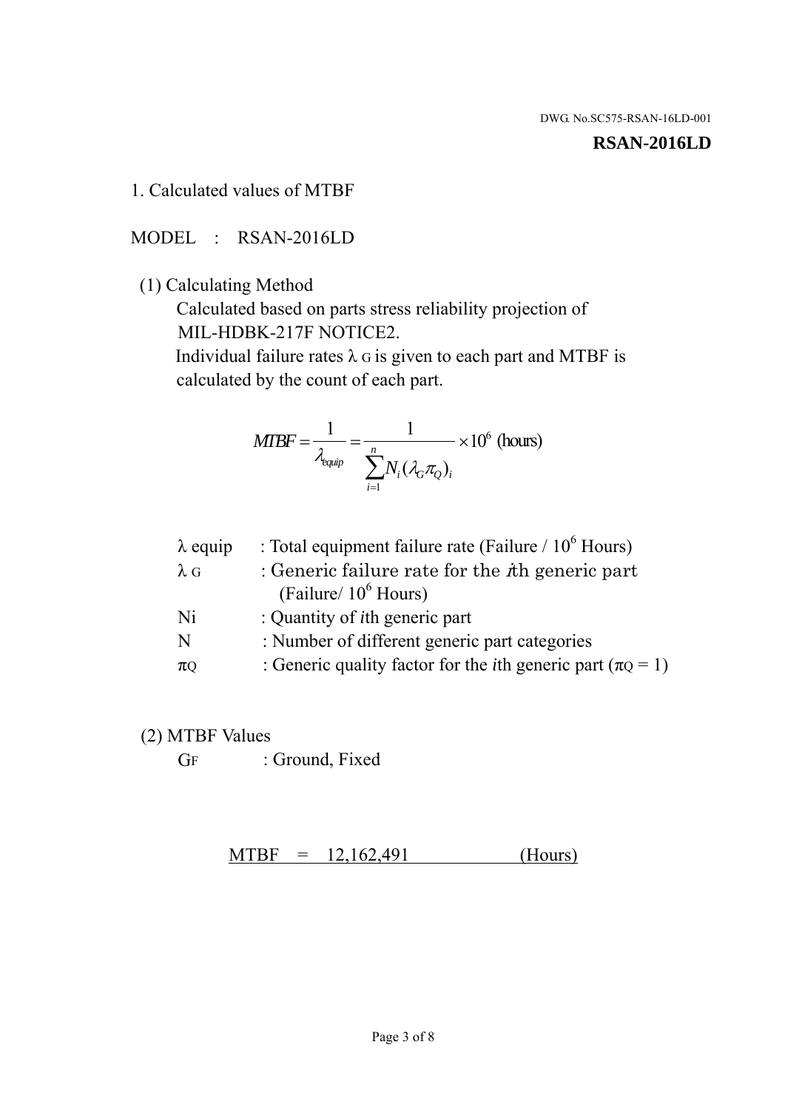#### **RSAN-2016LD**

## 1. Calculated values of MTBF

## MODEL : RSAN-2016LD

# (1) Calculating Method

 Calculated based on parts stress reliability projection of MIL-HDBK-217F NOTICE2.

Individual failure rates  $\lambda$  G is given to each part and MTBF is calculated by the count of each part.

$$
MTBF = \frac{1}{\lambda_{\text{equip}}} = \frac{1}{\sum_{i=1}^{n} N_i (\lambda_G \pi_Q)_i} \times 10^6 \text{ (hours)}
$$

| : Total equipment failure rate (Failure / $10^6$ Hours)                   |
|---------------------------------------------------------------------------|
| : Generic failure rate for the $\hbar$ generic part                       |
| (Failure/ $10^6$ Hours)                                                   |
| : Quantity of <i>i</i> th generic part                                    |
| : Number of different generic part categories                             |
| : Generic quality factor for the <i>i</i> th generic part ( $\pi Q = 1$ ) |
|                                                                           |

## (2) MTBF Values

GF : Ground, Fixed

 $MTBF = 12,162,491$  (Hours)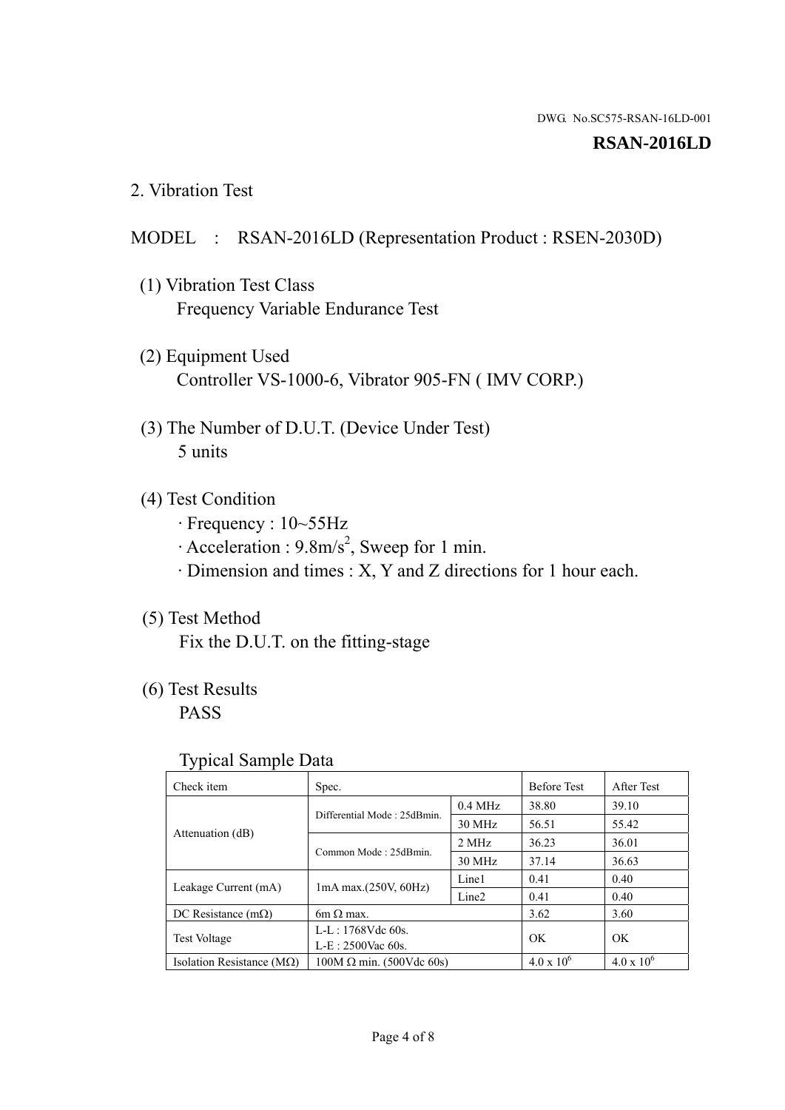### **RSAN-2016LD**

2. Vibration Test

## MODEL : RSAN-2016LD (Representation Product : RSEN-2030D)

- (1) Vibration Test Class Frequency Variable Endurance Test
- (2) Equipment Used Controller VS-1000-6, Vibrator 905-FN ( IMV CORP.)
- (3) The Number of D.U.T. (Device Under Test) 5 units
- (4) Test Condition
	- · Frequency : 10~55Hz
	- $\cdot$  Acceleration : 9.8m/s<sup>2</sup>, Sweep for 1 min.
	- · Dimension and times : X, Y and Z directions for 1 hour each.

# (5) Test Method

Fix the D.U.T. on the fitting-stage

# (6) Test Results

PASS

## Typical Sample Data

| . .                           |                                 |                   |                     |                     |
|-------------------------------|---------------------------------|-------------------|---------------------|---------------------|
| Check item                    | Spec.                           |                   | <b>Before Test</b>  | After Test          |
| Attenuation (dB)              | Differential Mode: 25dBmin.     | $0.4$ MHz         | 38.80               | 39.10               |
|                               |                                 | 30 MHz            | 56.51               | 55.42               |
|                               | Common Mode: 25dBmin.           | 2 MHz             | 36.23               | 36.01               |
|                               |                                 | 30 MHz            | 37.14               | 36.63               |
| Leakage Current (mA)          | $1mA$ max. $(250V, 60Hz)$       | Line1             | 0.41                | 0.40                |
|                               |                                 | Line <sub>2</sub> | 0.41                | 0.40                |
| DC Resistance $(m\Omega)$     | $6m \Omega$ max.                |                   | 3.62                | 3.60                |
| <b>Test Voltage</b>           | $L-L: 1768Vdc$ 60s.             |                   | OK                  | OK.                 |
|                               | $L-E$ : 2500Vac 60s.            |                   |                     |                     |
| Isolation Resistance ( $MQ$ ) | $100M \Omega$ min. (500Vdc 60s) |                   | $4.0 \times 10^{6}$ | $4.0 \times 10^{6}$ |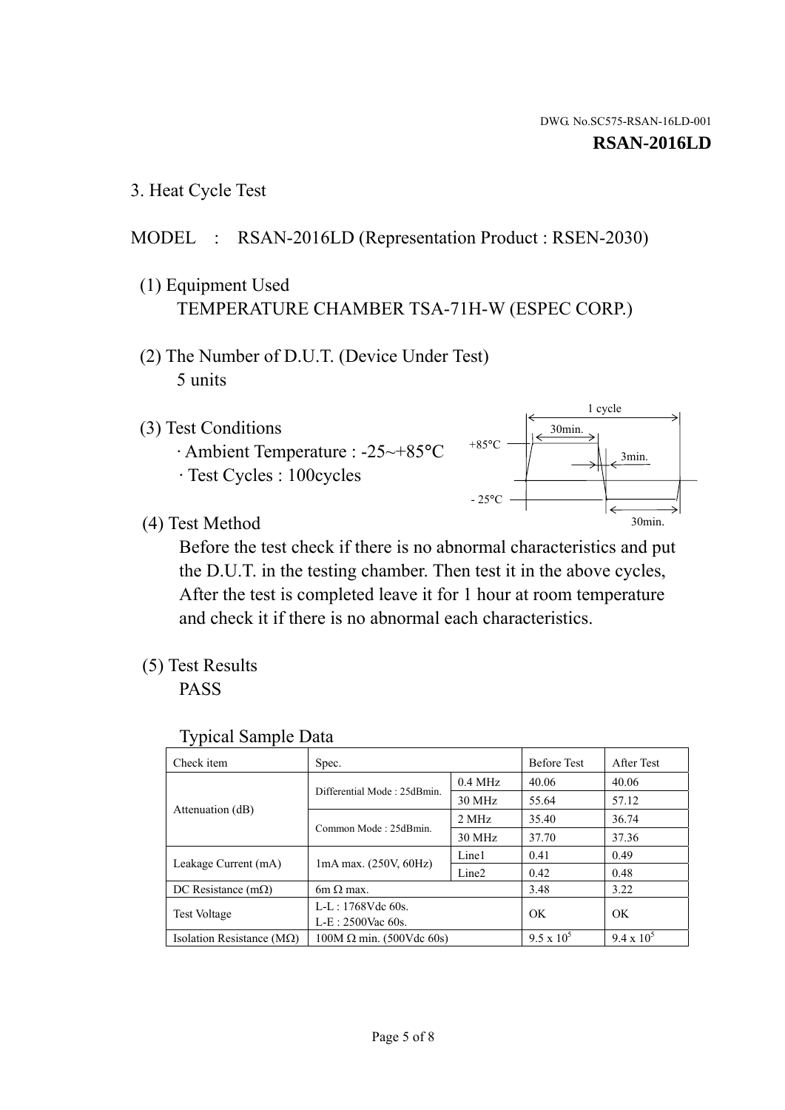1 cycle

30min.

3min.

30min.

3. Heat Cycle Test

# MODEL : RSAN-2016LD (Representation Product : RSEN-2030)

- (1) Equipment Used TEMPERATURE CHAMBER TSA-71H-W (ESPEC CORP.)
- (2) The Number of D.U.T. (Device Under Test) 5 units
- (3) Test Conditions
	- · Ambient Temperature : -25~+85°C · Test Cycles : 100cycles
- (4) Test Method

 Before the test check if there is no abnormal characteristics and put the D.U.T. in the testing chamber. Then test it in the above cycles, After the test is completed leave it for 1 hour at room temperature and check it if there is no abnormal each characteristics.

 $+85$ °C

 $-25$ °C

(5) Test Results

PASS

| <b>Typical Sample Data</b> |  |  |
|----------------------------|--|--|
|----------------------------|--|--|

| Check item                         | Spec.                           |                   | <b>Before Test</b> | After Test        |
|------------------------------------|---------------------------------|-------------------|--------------------|-------------------|
|                                    | Differential Mode: 25dBmin.     | $0.4$ MHz         | 40.06              | 40.06             |
|                                    |                                 | 30 MHz            | 55.64              | 57.12             |
| Attenuation (dB)                   | Common Mode: 25dBmin.           | 2 MHz             | 35.40              | 36.74             |
|                                    |                                 | 30 MHz            | 37.70              | 37.36             |
| Leakage Current (mA)               | $1mA$ max. $(250V, 60Hz)$       | Line1             | 0.41               | 0.49              |
|                                    |                                 | Line <sub>2</sub> | 0.42               | 0.48              |
| DC Resistance $(m\Omega)$          | 6m $\Omega$ max.                |                   | 3.48               | 3.22              |
| <b>Test Voltage</b>                | $L-L: 1768Vdc$ 60s.             |                   | OK                 | OK                |
|                                    | $L-E: 2500$ Vac 60s.            |                   |                    |                   |
| Isolation Resistance ( $M\Omega$ ) | $100M \Omega$ min. (500Vdc 60s) |                   | $9.5 \times 10^5$  | $9.4 \times 10^5$ |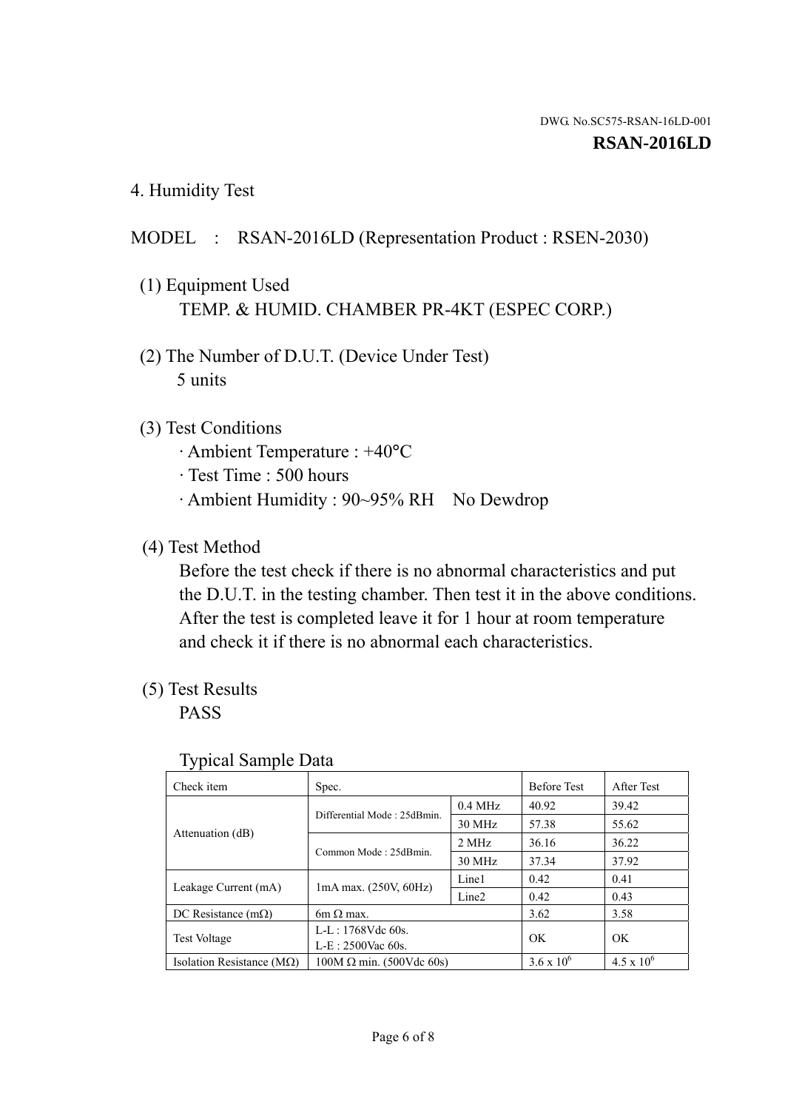4. Humidity Test

## MODEL : RSAN-2016LD (Representation Product : RSEN-2030)

- (1) Equipment Used TEMP. & HUMID. CHAMBER PR-4KT (ESPEC CORP.)
- (2) The Number of D.U.T. (Device Under Test) 5 units

## (3) Test Conditions

- · Ambient Temperature : +40°C
- · Test Time : 500 hours
- · Ambient Humidity : 90~95% RH No Dewdrop

## (4) Test Method

 Before the test check if there is no abnormal characteristics and put the D.U.T. in the testing chamber. Then test it in the above conditions. After the test is completed leave it for 1 hour at room temperature and check it if there is no abnormal each characteristics.

## (5) Test Results

PASS

| . .                                |                                 |                   |                     |                     |
|------------------------------------|---------------------------------|-------------------|---------------------|---------------------|
| Check item                         | Spec.                           |                   | <b>Before Test</b>  | After Test          |
| Attenuation (dB)                   | Differential Mode: 25dBmin.     | $0.4$ MHz         | 40.92               | 39.42               |
|                                    |                                 | 30 MHz            | 57.38               | 55.62               |
|                                    | Common Mode: 25dBmin.           | 2 MHz             | 36.16               | 36.22               |
|                                    |                                 | 30 MHz            | 37.34               | 37.92               |
| Leakage Current (mA)               | $1mA$ max. $(250V, 60Hz)$       | Line1             | 0.42                | 0.41                |
|                                    |                                 | Line <sub>2</sub> | 0.42                | 0.43                |
| DC Resistance $(m\Omega)$          | 6m $\Omega$ max.                |                   | 3.62                | 3.58                |
| <b>Test Voltage</b>                | $L-L: 1768Vdc$ 60s.             |                   | OK                  | OK                  |
|                                    | $L-E: 2500$ Vac 60s.            |                   |                     |                     |
| Isolation Resistance ( $M\Omega$ ) | $100M \Omega$ min. (500Vdc 60s) |                   | $3.6 \times 10^{6}$ | $4.5 \times 10^{6}$ |

#### Typical Sample Data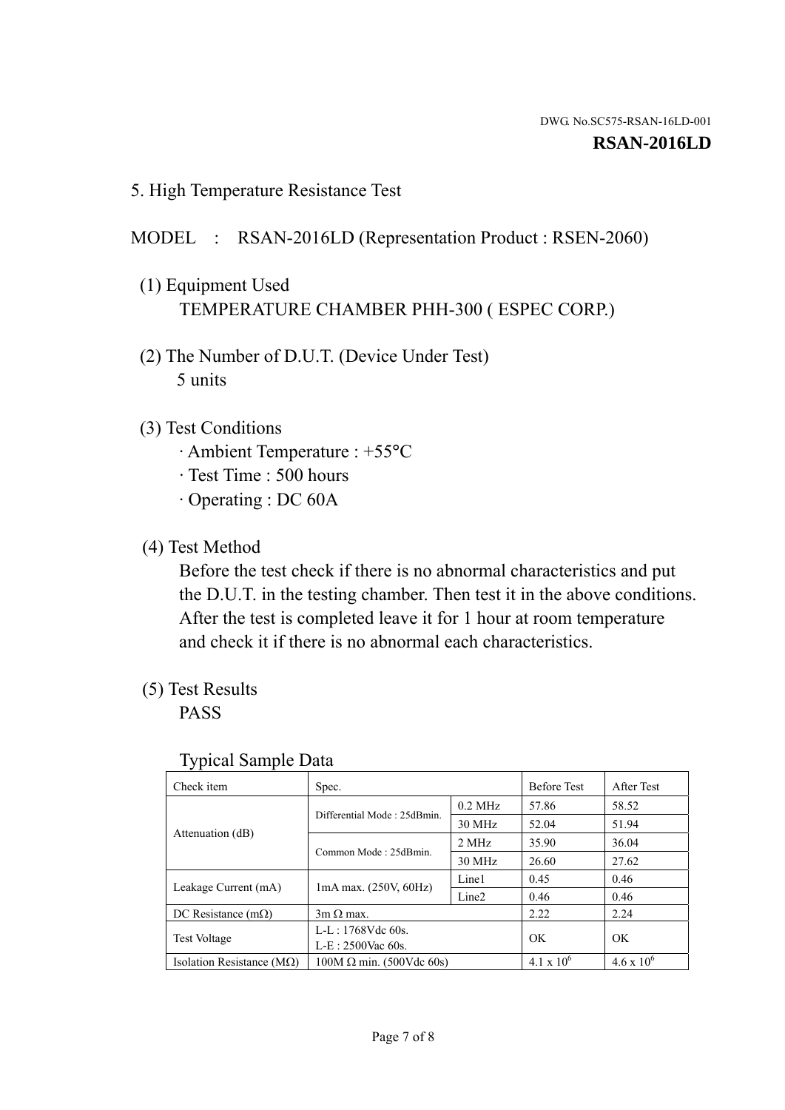5. High Temperature Resistance Test

# MODEL : RSAN-2016LD (Representation Product : RSEN-2060)

- (1) Equipment Used TEMPERATURE CHAMBER PHH-300 ( ESPEC CORP.)
- (2) The Number of D.U.T. (Device Under Test) 5 units
- (3) Test Conditions
	- · Ambient Temperature : +55°C
	- · Test Time : 500 hours
	- · Operating : DC 60A
- (4) Test Method

 Before the test check if there is no abnormal characteristics and put the D.U.T. in the testing chamber. Then test it in the above conditions. After the test is completed leave it for 1 hour at room temperature and check it if there is no abnormal each characteristics.

(5) Test Results

PASS

| J 1                                |                                 |                   |                     |                     |
|------------------------------------|---------------------------------|-------------------|---------------------|---------------------|
| Check item                         | Spec.                           |                   | <b>Before Test</b>  | After Test          |
|                                    | Differential Mode: 25dBmin.     | $0.2$ MHz         | 57.86               | 58.52               |
|                                    |                                 | 30 MHz            | 52.04               | 51.94               |
| Attenuation (dB)                   | Common Mode: 25dBmin.           | 2 MHz             | 35.90               | 36.04               |
|                                    |                                 | 30 MHz            | 26.60               | 27.62               |
| Leakage Current (mA)               | $1mA$ max. $(250V, 60Hz)$       | Line1             | 0.45                | 0.46                |
|                                    |                                 | Line <sub>2</sub> | 0.46                | 0.46                |
| DC Resistance $(m\Omega)$          | $3m \Omega$ max.                |                   | 2.22                | 2.24                |
| <b>Test Voltage</b>                | $L-L: 1768Vdc$ 60s.             |                   | OK                  | OK                  |
|                                    | $L-E: 2500$ Vac 60s.            |                   |                     |                     |
| Isolation Resistance ( $M\Omega$ ) | $100M \Omega$ min. (500Vdc 60s) |                   | $4.1 \times 10^{6}$ | $4.6 \times 10^{6}$ |

## Typical Sample Data